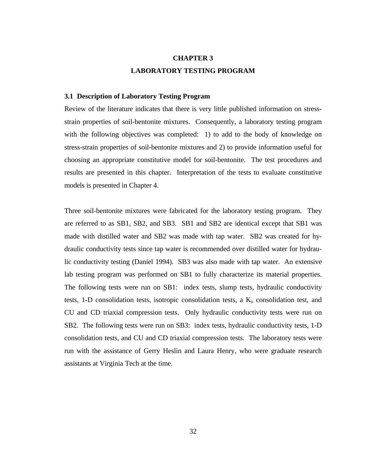# **CHAPTER 3 LABORATORY TESTING PROGRAM**

## **3.1 Description of Laboratory Testing Program**

Review of the literature indicates that there is very little published information on stressstrain properties of soil-bentonite mixtures. Consequently, a laboratory testing program with the following objectives was completed: 1) to add to the body of knowledge on stress-strain properties of soil-bentonite mixtures and 2) to provide information useful for choosing an appropriate constitutive model for soil-bentonite. The test procedures and results are presented in this chapter. Interpretation of the tests to evaluate constitutive models is presented in Chapter 4.

Three soil-bentonite mixtures were fabricated for the laboratory testing program. They are referred to as SB1, SB2, and SB3. SB1 and SB2 are identical except that SB1 was made with distilled water and SB2 was made with tap water. SB2 was created for hydraulic conductivity tests since tap water is recommended over distilled water for hydraulic conductivity testing (Daniel 1994). SB3 was also made with tap water. An extensive lab testing program was performed on SB1 to fully characterize its material properties. The following tests were run on SB1: index tests, slump tests, hydraulic conductivity tests, 1-D consolidation tests, isotropic consolidation tests, a  $K_0$  consolidation test, and CU and CD triaxial compression tests. Only hydraulic conductivity tests were run on SB2. The following tests were run on SB3: index tests, hydraulic conductivity tests, 1-D consolidation tests, and CU and CD triaxial compression tests. The laboratory tests were run with the assistance of Gerry Heslin and Laura Henry, who were graduate research assistants at Virginia Tech at the time.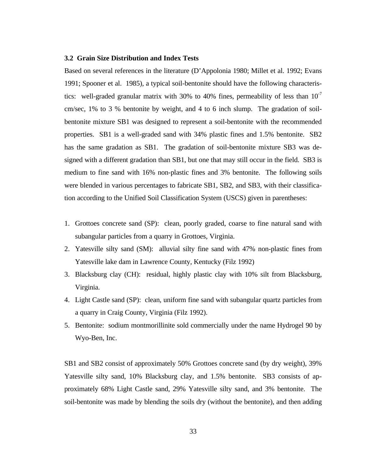#### **3.2 Grain Size Distribution and Index Tests**

Based on several references in the literature (D'Appolonia 1980; Millet et al. 1992; Evans 1991; Spooner et al. 1985), a typical soil-bentonite should have the following characteristics: well-graded granular matrix with 30% to 40% fines, permeability of less than  $10^{-7}$ cm/sec, 1% to 3 % bentonite by weight, and 4 to 6 inch slump. The gradation of soilbentonite mixture SB1 was designed to represent a soil-bentonite with the recommended properties. SB1 is a well-graded sand with 34% plastic fines and 1.5% bentonite. SB2 has the same gradation as SB1. The gradation of soil-bentonite mixture SB3 was designed with a different gradation than SB1, but one that may still occur in the field. SB3 is medium to fine sand with 16% non-plastic fines and 3% bentonite. The following soils were blended in various percentages to fabricate SB1, SB2, and SB3, with their classification according to the Unified Soil Classification System (USCS) given in parentheses:

- 1. Grottoes concrete sand (SP): clean, poorly graded, coarse to fine natural sand with subangular particles from a quarry in Grottoes, Virginia.
- 2. Yatesville silty sand (SM): alluvial silty fine sand with 47% non-plastic fines from Yatesville lake dam in Lawrence County, Kentucky (Filz 1992)
- 3. Blacksburg clay (CH): residual, highly plastic clay with 10% silt from Blacksburg, Virginia.
- 4. Light Castle sand (SP): clean, uniform fine sand with subangular quartz particles from a quarry in Craig County, Virginia (Filz 1992).
- 5. Bentonite: sodium montmorillinite sold commercially under the name Hydrogel 90 by Wyo-Ben, Inc.

SB1 and SB2 consist of approximately 50% Grottoes concrete sand (by dry weight), 39% Yatesville silty sand, 10% Blacksburg clay, and 1.5% bentonite. SB3 consists of approximately 68% Light Castle sand, 29% Yatesville silty sand, and 3% bentonite. The soil-bentonite was made by blending the soils dry (without the bentonite), and then adding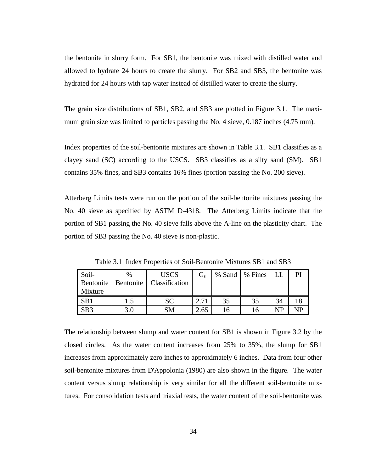the bentonite in slurry form. For SB1, the bentonite was mixed with distilled water and allowed to hydrate 24 hours to create the slurry. For SB2 and SB3, the bentonite was hydrated for 24 hours with tap water instead of distilled water to create the slurry.

The grain size distributions of SB1, SB2, and SB3 are plotted in Figure 3.1. The maximum grain size was limited to particles passing the No. 4 sieve, 0.187 inches (4.75 mm).

Index properties of the soil-bentonite mixtures are shown in Table 3.1. SB1 classifies as a clayey sand (SC) according to the USCS. SB3 classifies as a silty sand (SM). SB1 contains 35% fines, and SB3 contains 16% fines (portion passing the No. 200 sieve).

Atterberg Limits tests were run on the portion of the soil-bentonite mixtures passing the No. 40 sieve as specified by ASTM D-4318. The Atterberg Limits indicate that the portion of SB1 passing the No. 40 sieve falls above the A-line on the plasticity chart. The portion of SB3 passing the No. 40 sieve is non-plastic.

| Soil-<br>Bentonite<br>Mixture | $\frac{0}{6}$<br>Bentonite | <b>USCS</b><br>Classification | $G_s$ |    | % Sand   % Fines | LL |     |
|-------------------------------|----------------------------|-------------------------------|-------|----|------------------|----|-----|
| SB1                           | 1.5                        | <b>SC</b>                     | 2.71  | 35 | 35               | 34 |     |
| SB <sub>3</sub>               | 3.0                        | SМ                            | 2.65  |    |                  | NP | NTD |

Table 3.1 Index Properties of Soil-Bentonite Mixtures SB1 and SB3

The relationship between slump and water content for SB1 is shown in Figure 3.2 by the closed circles. As the water content increases from 25% to 35%, the slump for SB1 increases from approximately zero inches to approximately 6 inches. Data from four other soil-bentonite mixtures from D'Appolonia (1980) are also shown in the figure. The water content versus slump relationship is very similar for all the different soil-bentonite mixtures. For consolidation tests and triaxial tests, the water content of the soil-bentonite was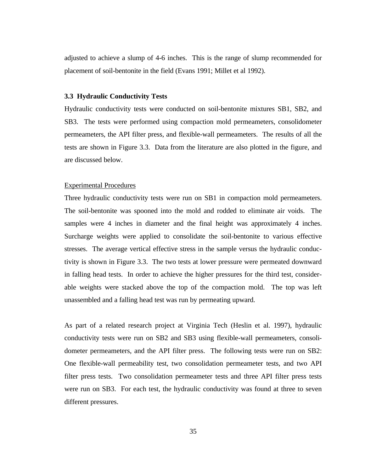adjusted to achieve a slump of 4-6 inches. This is the range of slump recommended for placement of soil-bentonite in the field (Evans 1991; Millet et al 1992).

## **3.3 Hydraulic Conductivity Tests**

Hydraulic conductivity tests were conducted on soil-bentonite mixtures SB1, SB2, and SB3. The tests were performed using compaction mold permeameters, consolidometer permeameters, the API filter press, and flexible-wall permeameters. The results of all the tests are shown in Figure 3.3. Data from the literature are also plotted in the figure, and are discussed below.

### Experimental Procedures

Three hydraulic conductivity tests were run on SB1 in compaction mold permeameters. The soil-bentonite was spooned into the mold and rodded to eliminate air voids. The samples were 4 inches in diameter and the final height was approximately 4 inches. Surcharge weights were applied to consolidate the soil-bentonite to various effective stresses. The average vertical effective stress in the sample versus the hydraulic conductivity is shown in Figure 3.3. The two tests at lower pressure were permeated downward in falling head tests. In order to achieve the higher pressures for the third test, considerable weights were stacked above the top of the compaction mold. The top was left unassembled and a falling head test was run by permeating upward.

As part of a related research project at Virginia Tech (Heslin et al. 1997), hydraulic conductivity tests were run on SB2 and SB3 using flexible-wall permeameters, consolidometer permeameters, and the API filter press. The following tests were run on SB2: One flexible-wall permeability test, two consolidation permeameter tests, and two API filter press tests. Two consolidation permeameter tests and three API filter press tests were run on SB3. For each test, the hydraulic conductivity was found at three to seven different pressures.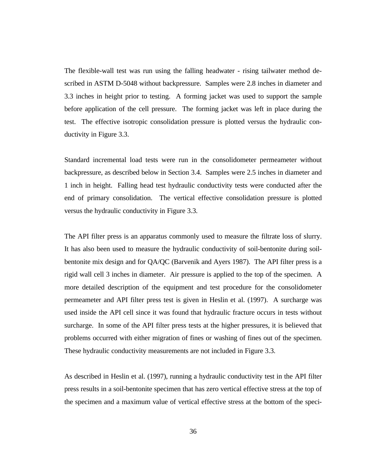The flexible-wall test was run using the falling headwater - rising tailwater method described in ASTM D-5048 without backpressure. Samples were 2.8 inches in diameter and 3.3 inches in height prior to testing. A forming jacket was used to support the sample before application of the cell pressure. The forming jacket was left in place during the test. The effective isotropic consolidation pressure is plotted versus the hydraulic conductivity in Figure 3.3.

Standard incremental load tests were run in the consolidometer permeameter without backpressure, as described below in Section 3.4. Samples were 2.5 inches in diameter and 1 inch in height. Falling head test hydraulic conductivity tests were conducted after the end of primary consolidation. The vertical effective consolidation pressure is plotted versus the hydraulic conductivity in Figure 3.3.

The API filter press is an apparatus commonly used to measure the filtrate loss of slurry. It has also been used to measure the hydraulic conductivity of soil-bentonite during soilbentonite mix design and for QA/QC (Barvenik and Ayers 1987). The API filter press is a rigid wall cell 3 inches in diameter. Air pressure is applied to the top of the specimen. A more detailed description of the equipment and test procedure for the consolidometer permeameter and API filter press test is given in Heslin et al. (1997). A surcharge was used inside the API cell since it was found that hydraulic fracture occurs in tests without surcharge. In some of the API filter press tests at the higher pressures, it is believed that problems occurred with either migration of fines or washing of fines out of the specimen. These hydraulic conductivity measurements are not included in Figure 3.3.

As described in Heslin et al. (1997), running a hydraulic conductivity test in the API filter press results in a soil-bentonite specimen that has zero vertical effective stress at the top of the specimen and a maximum value of vertical effective stress at the bottom of the speci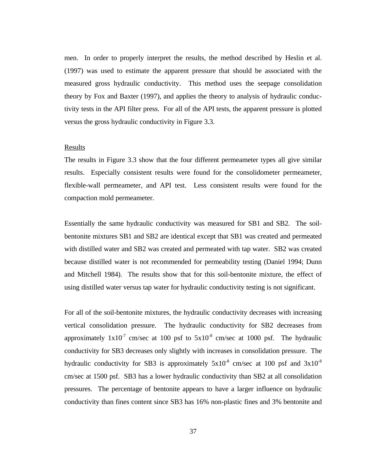men. In order to properly interpret the results, the method described by Heslin et al. (1997) was used to estimate the apparent pressure that should be associated with the measured gross hydraulic conductivity. This method uses the seepage consolidation theory by Fox and Baxter (1997), and applies the theory to analysis of hydraulic conductivity tests in the API filter press. For all of the API tests, the apparent pressure is plotted versus the gross hydraulic conductivity in Figure 3.3.

# Results

The results in Figure 3.3 show that the four different permeameter types all give similar results. Especially consistent results were found for the consolidometer permeameter, flexible-wall permeameter, and API test. Less consistent results were found for the compaction mold permeameter.

Essentially the same hydraulic conductivity was measured for SB1 and SB2. The soilbentonite mixtures SB1 and SB2 are identical except that SB1 was created and permeated with distilled water and SB2 was created and permeated with tap water. SB2 was created because distilled water is not recommended for permeability testing (Daniel 1994; Dunn and Mitchell 1984). The results show that for this soil-bentonite mixture, the effect of using distilled water versus tap water for hydraulic conductivity testing is not significant.

For all of the soil-bentonite mixtures, the hydraulic conductivity decreases with increasing vertical consolidation pressure. The hydraulic conductivity for SB2 decreases from approximately  $1x10^7$  cm/sec at 100 psf to  $5x10^8$  cm/sec at 1000 psf. The hydraulic conductivity for SB3 decreases only slightly with increases in consolidation pressure. The hydraulic conductivity for SB3 is approximately  $5x10^{-8}$  cm/sec at 100 psf and  $3x10^{-8}$ cm/sec at 1500 psf. SB3 has a lower hydraulic conductivity than SB2 at all consolidation pressures. The percentage of bentonite appears to have a larger influence on hydraulic conductivity than fines content since SB3 has 16% non-plastic fines and 3% bentonite and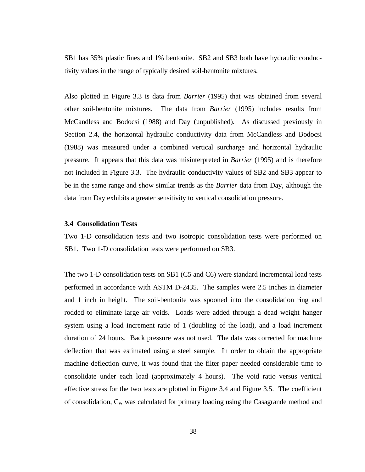SB1 has 35% plastic fines and 1% bentonite. SB2 and SB3 both have hydraulic conductivity values in the range of typically desired soil-bentonite mixtures.

Also plotted in Figure 3.3 is data from *Barrier* (1995) that was obtained from several other soil-bentonite mixtures. The data from *Barrier* (1995) includes results from McCandless and Bodocsi (1988) and Day (unpublished). As discussed previously in Section 2.4, the horizontal hydraulic conductivity data from McCandless and Bodocsi (1988) was measured under a combined vertical surcharge and horizontal hydraulic pressure. It appears that this data was misinterpreted in *Barrier* (1995) and is therefore not included in Figure 3.3. The hydraulic conductivity values of SB2 and SB3 appear to be in the same range and show similar trends as the *Barrier* data from Day, although the data from Day exhibits a greater sensitivity to vertical consolidation pressure.

## **3.4 Consolidation Tests**

Two 1-D consolidation tests and two isotropic consolidation tests were performed on SB1. Two 1-D consolidation tests were performed on SB3.

The two 1-D consolidation tests on SB1 (C5 and C6) were standard incremental load tests performed in accordance with ASTM D-2435. The samples were 2.5 inches in diameter and 1 inch in height. The soil-bentonite was spooned into the consolidation ring and rodded to eliminate large air voids. Loads were added through a dead weight hanger system using a load increment ratio of 1 (doubling of the load), and a load increment duration of 24 hours. Back pressure was not used. The data was corrected for machine deflection that was estimated using a steel sample. In order to obtain the appropriate machine deflection curve, it was found that the filter paper needed considerable time to consolidate under each load (approximately 4 hours). The void ratio versus vertical effective stress for the two tests are plotted in Figure 3.4 and Figure 3.5. The coefficient of consolidation, Cv, was calculated for primary loading using the Casagrande method and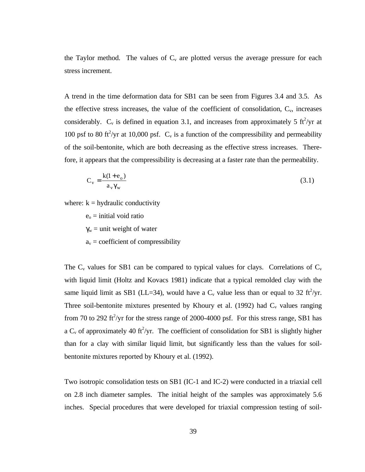the Taylor method. The values of  $C_v$  are plotted versus the average pressure for each stress increment.

A trend in the time deformation data for SB1 can be seen from Figures 3.4 and 3.5. As the effective stress increases, the value of the coefficient of consolidation,  $C_v$ , increases considerably.  $C_v$  is defined in equation 3.1, and increases from approximately 5 ft<sup>2</sup>/yr at 100 psf to 80 ft<sup>2</sup>/yr at 10,000 psf.  $C_v$  is a function of the compressibility and permeability of the soil-bentonite, which are both decreasing as the effective stress increases. Therefore, it appears that the compressibility is decreasing at a faster rate than the permeability.

$$
C_v = \frac{k(1 + e_o)}{a_v \gamma_w} \tag{3.1}
$$

where:  $k =$  hydraulic conductivity

 $e_0$  = initial void ratio  $\gamma_w$  = unit weight of water

 $a_v =$  coefficient of compressibility

The  $C_v$  values for SB1 can be compared to typical values for clays. Correlations of  $C_v$ with liquid limit (Holtz and Kovacs 1981) indicate that a typical remolded clay with the same liquid limit as SB1 (LL=34), would have a  $C_v$  value less than or equal to 32 ft<sup>2</sup>/yr. Three soil-bentonite mixtures presented by Khoury et al. (1992) had  $C_v$  values ranging from 70 to 292 ft<sup>2</sup>/yr for the stress range of 2000-4000 psf. For this stress range, SB1 has a  $C_v$  of approximately 40 ft<sup>2</sup>/yr. The coefficient of consolidation for SB1 is slightly higher than for a clay with similar liquid limit, but significantly less than the values for soilbentonite mixtures reported by Khoury et al. (1992).

Two isotropic consolidation tests on SB1 (IC-1 and IC-2) were conducted in a triaxial cell on 2.8 inch diameter samples. The initial height of the samples was approximately 5.6 inches. Special procedures that were developed for triaxial compression testing of soil-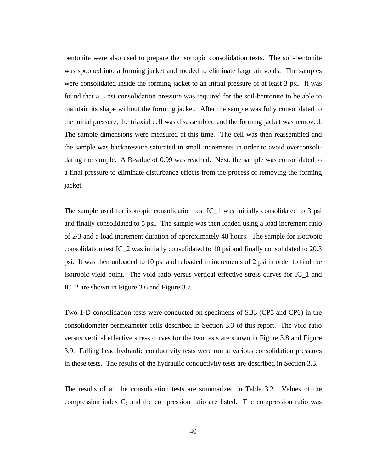bentonite were also used to prepare the isotropic consolidation tests. The soil-bentonite was spooned into a forming jacket and rodded to eliminate large air voids. The samples were consolidated inside the forming jacket to an initial pressure of at least 3 psi. It was found that a 3 psi consolidation pressure was required for the soil-bentonite to be able to maintain its shape without the forming jacket. After the sample was fully consolidated to the initial pressure, the triaxial cell was disassembled and the forming jacket was removed. The sample dimensions were measured at this time. The cell was then reassembled and the sample was backpressure saturated in small increments in order to avoid overconsolidating the sample. A B-value of 0.99 was reached. Next, the sample was consolidated to a final pressure to eliminate disturbance effects from the process of removing the forming jacket.

The sample used for isotropic consolidation test  $IC_1$  was initially consolidated to 3 psi and finally consolidated to 5 psi. The sample was then loaded using a load increment ratio of 2/3 and a load increment duration of approximately 48 hours. The sample for isotropic consolidation test IC\_2 was initially consolidated to 10 psi and finally consolidated to 20.3 psi. It was then unloaded to 10 psi and reloaded in increments of 2 psi in order to find the isotropic yield point. The void ratio versus vertical effective stress curves for IC\_1 and IC\_2 are shown in Figure 3.6 and Figure 3.7.

Two 1-D consolidation tests were conducted on specimens of SB3 (CP5 and CP6) in the consolidometer permeameter cells described in Section 3.3 of this report. The void ratio versus vertical effective stress curves for the two tests are shown in Figure 3.8 and Figure 3.9. Falling head hydraulic conductivity tests were run at various consolidation pressures in these tests. The results of the hydraulic conductivity tests are described in Section 3.3.

The results of all the consolidation tests are summarized in Table 3.2. Values of the compression index  $C_c$  and the compression ratio are listed. The compression ratio was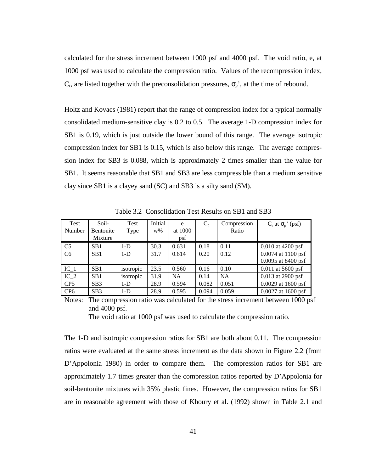calculated for the stress increment between 1000 psf and 4000 psf. The void ratio, e, at 1000 psf was used to calculate the compression ratio. Values of the recompression index,  $C_r$ , are listed together with the preconsolidation pressures,  $\sigma_p$ <sup>'</sup>, at the time of rebound.

Holtz and Kovacs (1981) report that the range of compression index for a typical normally consolidated medium-sensitive clay is 0.2 to 0.5. The average 1-D compression index for SB1 is 0.19, which is just outside the lower bound of this range. The average isotropic compression index for SB1 is 0.15, which is also below this range. The average compression index for SB3 is 0.088, which is approximately 2 times smaller than the value for SB1. It seems reasonable that SB1 and SB3 are less compressible than a medium sensitive clay since SB1 is a clayey sand (SC) and SB3 is a silty sand (SM).

| Test            | Soil-            | Test      | Initial | e         | $C_{c}$ | Compression | $C_r$ at $\sigma_p$ ' (psf) |
|-----------------|------------------|-----------|---------|-----------|---------|-------------|-----------------------------|
| Number          | Bentonite        | Type      | $W\%$   | at 1000   |         | Ratio       |                             |
|                 | Mixture          |           |         | psf       |         |             |                             |
| C <sub>5</sub>  | S <sub>B</sub> 1 | $1-D$     | 30.3    | 0.631     | 0.18    | 0.11        | $0.010$ at 4200 psf         |
| C <sub>6</sub>  | S <sub>B</sub> 1 | $1-D$     | 31.7    | 0.614     | 0.20    | 0.12        | 0.0074 at 1100 psf          |
|                 |                  |           |         |           |         |             | 0.0095 at 8400 psf          |
| $IC_1$          | SB <sub>1</sub>  | isotropic | 23.5    | 0.560     | 0.16    | 0.10        | $0.011$ at 5600 psf         |
| $IC_2$          | S <sub>B</sub> 1 | isotropic | 31.9    | <b>NA</b> | 0.14    | <b>NA</b>   | $0.013$ at 2900 psf         |
| CP <sub>5</sub> | SB3              | $1-D$     | 28.9    | 0.594     | 0.082   | 0.051       | 0.0029 at 1600 psf          |
| CP <sub>6</sub> | SB3              | $1-D$     | 28.9    | 0.595     | 0.094   | 0.059       | $0.0027$ at 1600 psf        |

Table 3.2 Consolidation Test Results on SB1 and SB3

Notes: The compression ratio was calculated for the stress increment between 1000 psf and 4000 psf.

The void ratio at 1000 psf was used to calculate the compression ratio.

The 1-D and isotropic compression ratios for SB1 are both about 0.11. The compression ratios were evaluated at the same stress increment as the data shown in Figure 2.2 (from D'Appolonia 1980) in order to compare them. The compression ratios for SB1 are approximately 1.7 times greater than the compression ratios reported by D'Appolonia for soil-bentonite mixtures with 35% plastic fines. However, the compression ratios for SB1 are in reasonable agreement with those of Khoury et al. (1992) shown in Table 2.1 and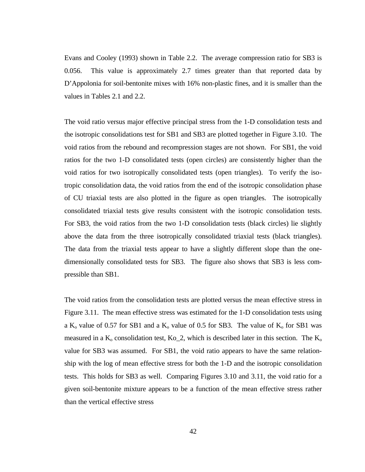Evans and Cooley (1993) shown in Table 2.2. The average compression ratio for SB3 is 0.056. This value is approximately 2.7 times greater than that reported data by D'Appolonia for soil-bentonite mixes with 16% non-plastic fines, and it is smaller than the values in Tables 2.1 and 2.2.

The void ratio versus major effective principal stress from the 1-D consolidation tests and the isotropic consolidations test for SB1 and SB3 are plotted together in Figure 3.10. The void ratios from the rebound and recompression stages are not shown. For SB1, the void ratios for the two 1-D consolidated tests (open circles) are consistently higher than the void ratios for two isotropically consolidated tests (open triangles). To verify the isotropic consolidation data, the void ratios from the end of the isotropic consolidation phase of CU triaxial tests are also plotted in the figure as open triangles. The isotropically consolidated triaxial tests give results consistent with the isotropic consolidation tests. For SB3, the void ratios from the two 1-D consolidation tests (black circles) lie slightly above the data from the three isotropically consolidated triaxial tests (black triangles). The data from the triaxial tests appear to have a slightly different slope than the onedimensionally consolidated tests for SB3. The figure also shows that SB3 is less compressible than SB1.

The void ratios from the consolidation tests are plotted versus the mean effective stress in Figure 3.11. The mean effective stress was estimated for the 1-D consolidation tests using a K<sub>o</sub> value of 0.57 for SB1 and a K<sub>o</sub> value of 0.5 for SB3. The value of K<sub>o</sub> for SB1 was measured in a  $K_0$  consolidation test,  $K_0$  2, which is described later in this section. The  $K_0$ value for SB3 was assumed. For SB1, the void ratio appears to have the same relationship with the log of mean effective stress for both the 1-D and the isotropic consolidation tests. This holds for SB3 as well. Comparing Figures 3.10 and 3.11, the void ratio for a given soil-bentonite mixture appears to be a function of the mean effective stress rather than the vertical effective stress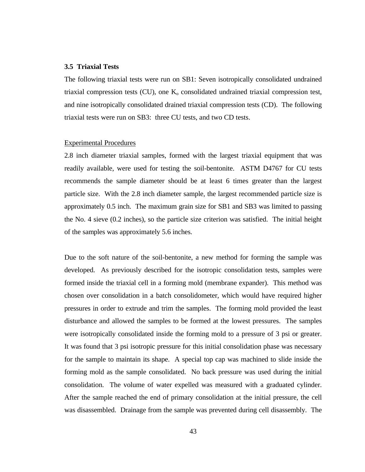## **3.5 Triaxial Tests**

The following triaxial tests were run on SB1: Seven isotropically consolidated undrained triaxial compression tests (CU), one  $K_0$  consolidated undrained triaxial compression test, and nine isotropically consolidated drained triaxial compression tests (CD). The following triaxial tests were run on SB3: three CU tests, and two CD tests.

#### Experimental Procedures

2.8 inch diameter triaxial samples, formed with the largest triaxial equipment that was readily available, were used for testing the soil-bentonite. ASTM D4767 for CU tests recommends the sample diameter should be at least 6 times greater than the largest particle size. With the 2.8 inch diameter sample, the largest recommended particle size is approximately 0.5 inch. The maximum grain size for SB1 and SB3 was limited to passing the No. 4 sieve (0.2 inches), so the particle size criterion was satisfied. The initial height of the samples was approximately 5.6 inches.

Due to the soft nature of the soil-bentonite, a new method for forming the sample was developed. As previously described for the isotropic consolidation tests, samples were formed inside the triaxial cell in a forming mold (membrane expander). This method was chosen over consolidation in a batch consolidometer, which would have required higher pressures in order to extrude and trim the samples. The forming mold provided the least disturbance and allowed the samples to be formed at the lowest pressures. The samples were isotropically consolidated inside the forming mold to a pressure of 3 psi or greater. It was found that 3 psi isotropic pressure for this initial consolidation phase was necessary for the sample to maintain its shape. A special top cap was machined to slide inside the forming mold as the sample consolidated. No back pressure was used during the initial consolidation. The volume of water expelled was measured with a graduated cylinder. After the sample reached the end of primary consolidation at the initial pressure, the cell was disassembled. Drainage from the sample was prevented during cell disassembly. The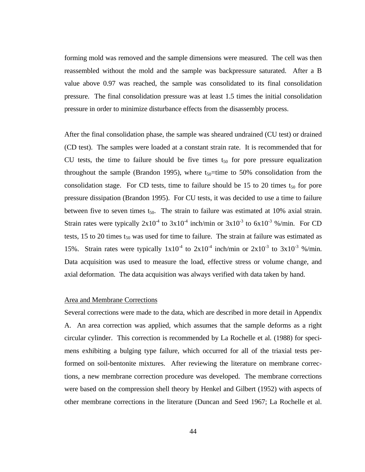forming mold was removed and the sample dimensions were measured. The cell was then reassembled without the mold and the sample was backpressure saturated. After a B value above 0.97 was reached, the sample was consolidated to its final consolidation pressure. The final consolidation pressure was at least 1.5 times the initial consolidation pressure in order to minimize disturbance effects from the disassembly process.

After the final consolidation phase, the sample was sheared undrained (CU test) or drained (CD test). The samples were loaded at a constant strain rate. It is recommended that for CU tests, the time to failure should be five times  $t_{50}$  for pore pressure equalization throughout the sample (Brandon 1995), where  $t_{50}$ =time to 50% consolidation from the consolidation stage. For CD tests, time to failure should be 15 to 20 times  $t_{50}$  for pore pressure dissipation (Brandon 1995). For CU tests, it was decided to use a time to failure between five to seven times  $t_{50}$ . The strain to failure was estimated at 10% axial strain. Strain rates were typically  $2x10^4$  to  $3x10^4$  inch/min or  $3x10^3$  to  $6x10^3$  %/min. For CD tests, 15 to 20 times  $t_{50}$  was used for time to failure. The strain at failure was estimated as 15%. Strain rates were typically  $1x10^{-4}$  to  $2x10^{-4}$  inch/min or  $2x10^{-3}$  to  $3x10^{-3}$  %/min. Data acquisition was used to measure the load, effective stress or volume change, and axial deformation. The data acquisition was always verified with data taken by hand.

### Area and Membrane Corrections

Several corrections were made to the data, which are described in more detail in Appendix A. An area correction was applied, which assumes that the sample deforms as a right circular cylinder. This correction is recommended by La Rochelle et al. (1988) for specimens exhibiting a bulging type failure, which occurred for all of the triaxial tests performed on soil-bentonite mixtures. After reviewing the literature on membrane corrections, a new membrane correction procedure was developed. The membrane corrections were based on the compression shell theory by Henkel and Gilbert (1952) with aspects of other membrane corrections in the literature (Duncan and Seed 1967; La Rochelle et al.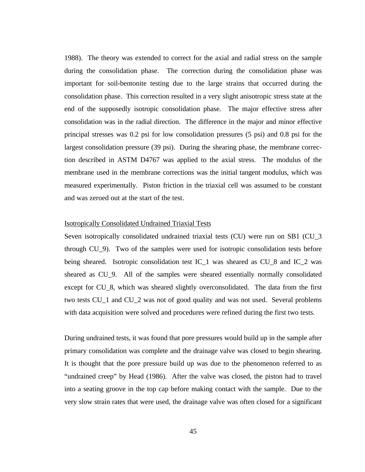1988). The theory was extended to correct for the axial and radial stress on the sample during the consolidation phase. The correction during the consolidation phase was important for soil-bentonite testing due to the large strains that occurred during the consolidation phase. This correction resulted in a very slight anisotropic stress state at the end of the supposedly isotropic consolidation phase. The major effective stress after consolidation was in the radial direction. The difference in the major and minor effective principal stresses was 0.2 psi for low consolidation pressures (5 psi) and 0.8 psi for the largest consolidation pressure (39 psi). During the shearing phase, the membrane correction described in ASTM D4767 was applied to the axial stress. The modulus of the membrane used in the membrane corrections was the initial tangent modulus, which was measured experimentally. Piston friction in the triaxial cell was assumed to be constant and was zeroed out at the start of the test.

### Isotropically Consolidated Undrained Triaxial Tests

Seven isotropically consolidated undrained triaxial tests (CU) were run on SB1 (CU\_3 through CU\_9). Two of the samples were used for isotropic consolidation tests before being sheared. Isotropic consolidation test IC\_1 was sheared as CU\_8 and IC\_2 was sheared as CU\_9. All of the samples were sheared essentially normally consolidated except for CU\_8, which was sheared slightly overconsolidated. The data from the first two tests CU\_1 and CU\_2 was not of good quality and was not used. Several problems with data acquisition were solved and procedures were refined during the first two tests.

During undrained tests, it was found that pore pressures would build up in the sample after primary consolidation was complete and the drainage valve was closed to begin shearing. It is thought that the pore pressure build up was due to the phenomenon referred to as "undrained creep" by Head (1986). After the valve was closed, the piston had to travel into a seating groove in the top cap before making contact with the sample. Due to the very slow strain rates that were used, the drainage valve was often closed for a significant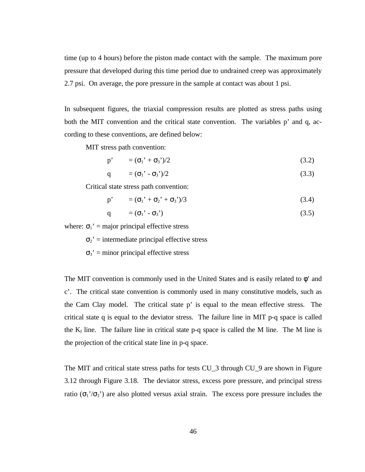time (up to 4 hours) before the piston made contact with the sample. The maximum pore pressure that developed during this time period due to undrained creep was approximately 2.7 psi. On average, the pore pressure in the sample at contact was about 1 psi.

In subsequent figures, the triaxial compression results are plotted as stress paths using both the MIT convention and the critical state convention. The variables p' and q, according to these conventions, are defined below:

MIT stress path convention:

$$
p' = (\sigma_1' + \sigma_3')/2 \tag{3.2}
$$

$$
q = (\sigma_1' - \sigma_3')/2 \tag{3.3}
$$

Critical state stress path convention:

$$
p' = (\sigma_1' + \sigma_2' + \sigma_3')/3 \tag{3.4}
$$

$$
q = (\sigma_1' - \sigma_3') \tag{3.5}
$$

where:  $\sigma_1$ ' = major principal effective stress

 $\sigma_2$ ' = intermediate principal effective stress

 $\sigma_3$ ' = minor principal effective stress

The MIT convention is commonly used in the United States and is easily related to φ' and c'. The critical state convention is commonly used in many constitutive models, such as the Cam Clay model. The critical state p' is equal to the mean effective stress. The critical state q is equal to the deviator stress. The failure line in MIT p-q space is called the  $K_f$  line. The failure line in critical state p-q space is called the M line. The M line is the projection of the critical state line in p-q space.

The MIT and critical state stress paths for tests CU\_3 through CU\_9 are shown in Figure 3.12 through Figure 3.18. The deviator stress, excess pore pressure, and principal stress ratio ( $\sigma_1$ '/ $\sigma_3$ ') are also plotted versus axial strain. The excess pore pressure includes the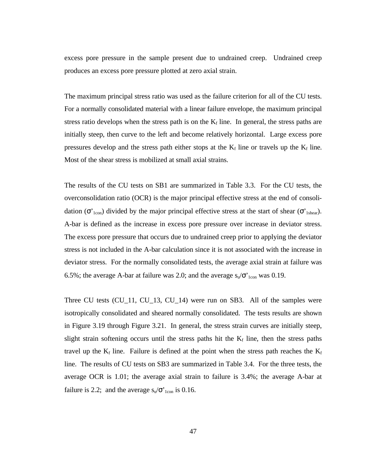excess pore pressure in the sample present due to undrained creep. Undrained creep produces an excess pore pressure plotted at zero axial strain.

The maximum principal stress ratio was used as the failure criterion for all of the CU tests. For a normally consolidated material with a linear failure envelope, the maximum principal stress ratio develops when the stress path is on the  $K_f$  line. In general, the stress paths are initially steep, then curve to the left and become relatively horizontal. Large excess pore pressures develop and the stress path either stops at the  $K_f$  line or travels up the  $K_f$  line. Most of the shear stress is mobilized at small axial strains.

The results of the CU tests on SB1 are summarized in Table 3.3. For the CU tests, the overconsolidation ratio (OCR) is the major principal effective stress at the end of consolidation ( $\sigma'_{1con}$ ) divided by the major principal effective stress at the start of shear ( $\sigma'_{1shear}$ ). A-bar is defined as the increase in excess pore pressure over increase in deviator stress. The excess pore pressure that occurs due to undrained creep prior to applying the deviator stress is not included in the A-bar calculation since it is not associated with the increase in deviator stress. For the normally consolidated tests, the average axial strain at failure was 6.5%; the average A-bar at failure was 2.0; and the average  $s_v/\sigma'_{1con}$  was 0.19.

Three CU tests (CU\_11, CU\_13, CU\_14) were run on SB3. All of the samples were isotropically consolidated and sheared normally consolidated. The tests results are shown in Figure 3.19 through Figure 3.21. In general, the stress strain curves are initially steep, slight strain softening occurs until the stress paths hit the  $K_f$  line, then the stress paths travel up the  $K_f$  line. Failure is defined at the point when the stress path reaches the  $K_f$ line. The results of CU tests on SB3 are summarized in Table 3.4. For the three tests, the average OCR is 1.01; the average axial strain to failure is 3.4%; the average A-bar at failure is 2.2; and the average  $s_u/\sigma_{1con}^{\prime}$  is 0.16.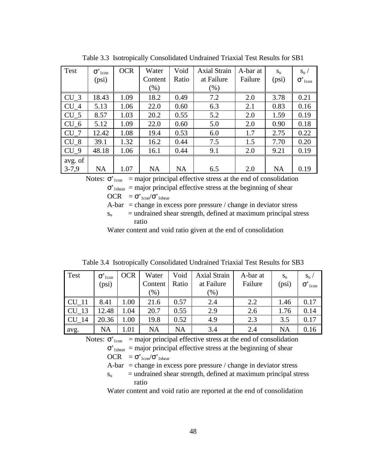| Test            | $\sigma$ <sup>'</sup> <sub>1con</sub> | <b>OCR</b> | Water     | Void      | <b>Axial Strain</b> | A-bar at | $S_{\rm u}$ | $S_{\rm u}$ /                         |
|-----------------|---------------------------------------|------------|-----------|-----------|---------------------|----------|-------------|---------------------------------------|
|                 | (psi)                                 |            | Content   | Ratio     | at Failure          | Failure  | (psi)       | $\sigma$ <sup>'</sup> <sub>1con</sub> |
|                 |                                       |            | $(\% )$   |           | $(\% )$             |          |             |                                       |
| $CU_3$          | 18.43                                 | 1.09       | 18.2      | 0.49      | 7.2                 | 2.0      | 3.78        | 0.21                                  |
| CU <sub>4</sub> | 5.13                                  | 1.06       | 22.0      | 0.60      | 6.3                 | 2.1      | 0.83        | 0.16                                  |
| $CU_5$          | 8.57                                  | 1.03       | 20.2      | 0.55      | 5.2                 | 2.0      | 1.59        | 0.19                                  |
| $CU_6$          | 5.12                                  | 1.09       | 22.0      | 0.60      | 5.0                 | 2.0      | 0.90        | 0.18                                  |
| $CU_7$          | 12.42                                 | 1.08       | 19.4      | 0.53      | 6.0                 | 1.7      | 2.75        | 0.22                                  |
| CU <sub>8</sub> | 39.1                                  | 1.32       | 16.2      | 0.44      | 7.5                 | 1.5      | 7.70        | 0.20                                  |
| $CU_9$          | 48.18                                 | 1.06       | 16.1      | 0.44      | 9.1                 | 2.0      | 9.21        | 0.19                                  |
| avg. of         |                                       |            |           |           |                     |          |             |                                       |
| $3 - 7,9$       | <b>NA</b>                             | 1.07       | <b>NA</b> | <b>NA</b> | 6.5                 | 2.0      | <b>NA</b>   | 0.19                                  |

Table 3.3 Isotropically Consolidated Undrained Triaxial Test Results for SB1

Notes:  $\sigma'_{1con}$  = major principal effective stress at the end of consolidation  $\sigma'_{\text{1shear}}$  = major principal effective stress at the beginning of shear

OCR =  $σ$ <sup>'</sup><sub>1con</sub>/ $σ$ '<sub>1shear</sub>

A-bar  $=$  change in excess pore pressure / change in deviator stress

 $s<sub>u</sub>$  = undrained shear strength, defined at maximum principal stress ratio

Water content and void ratio given at the end of consolidation

Table 3.4 Isotropically Consolidated Undrained Triaxial Test Results for SB3

| Test         | $\sigma$ <sup>'</sup> <sub>1con</sub> | <b>OCR</b> | Water   | Void  | <b>Axial Strain</b> | A-bar at | $S_{\rm U}$ | $S_{\rm u}$                           |
|--------------|---------------------------------------|------------|---------|-------|---------------------|----------|-------------|---------------------------------------|
|              | (psi)                                 |            | Content | Ratio | at Failure          | Failure  | (psi)       | $\sigma$ <sup>'</sup> <sub>1con</sub> |
|              |                                       |            | $(\% )$ |       | (% )                |          |             |                                       |
| <b>CU</b> 11 | 8.41                                  | 0.1        | 21.6    | 0.57  | 2.4                 | 2.2      | 1.46        | 0.17                                  |
| CU 13        | 12.48                                 | 1.04       | 20.7    | 0.55  | 2.9                 | 2.6      | 1.76        | 0.14                                  |
| CU 14        | 20.36                                 | 1.00       | 19.8    | 0.52  | 4.9                 | 2.3      | 3.5         | 0.17                                  |
| avg.         | NA                                    | 1.01       | NA      | NA    | 3.4                 | 2.4      | <b>NA</b>   | 0.16                                  |

Notes:  $\sigma'_{1con}$  = major principal effective stress at the end of consolidation

 $\sigma'_{\text{1shear}}$  = major principal effective stress at the beginning of shear

$$
OCR = \sigma'_{1con}/\sigma'_{1shear}
$$

 $A-bar = change in excess pore pressure / change in deviator stress$ 

 $s<sub>u</sub>$  = undrained shear strength, defined at maximum principal stress ratio

Water content and void ratio are reported at the end of consolidation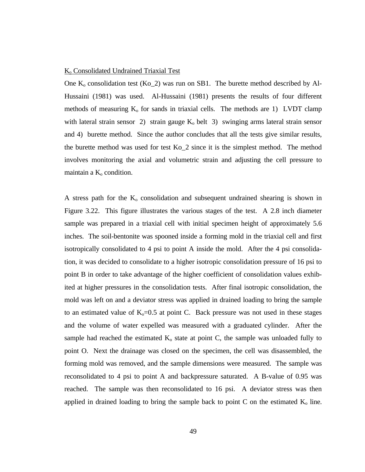#### K<sub>o</sub> Consolidated Undrained Triaxial Test

One  $K_0$  consolidation test  $(Ko_2)$  was run on SB1. The burette method described by Al-Hussaini (1981) was used. Al-Hussaini (1981) presents the results of four different methods of measuring  $K_0$  for sands in triaxial cells. The methods are 1) LVDT clamp with lateral strain sensor 2) strain gauge  $K_0$  belt 3) swinging arms lateral strain sensor and 4) burette method. Since the author concludes that all the tests give similar results, the burette method was used for test Ko\_2 since it is the simplest method. The method involves monitoring the axial and volumetric strain and adjusting the cell pressure to maintain a  $K_0$  condition.

A stress path for the  $K_0$  consolidation and subsequent undrained shearing is shown in Figure 3.22. This figure illustrates the various stages of the test. A 2.8 inch diameter sample was prepared in a triaxial cell with initial specimen height of approximately 5.6 inches. The soil-bentonite was spooned inside a forming mold in the triaxial cell and first isotropically consolidated to 4 psi to point A inside the mold. After the 4 psi consolidation, it was decided to consolidate to a higher isotropic consolidation pressure of 16 psi to point B in order to take advantage of the higher coefficient of consolidation values exhibited at higher pressures in the consolidation tests. After final isotropic consolidation, the mold was left on and a deviator stress was applied in drained loading to bring the sample to an estimated value of  $K_0=0.5$  at point C. Back pressure was not used in these stages and the volume of water expelled was measured with a graduated cylinder. After the sample had reached the estimated  $K_0$  state at point C, the sample was unloaded fully to point O. Next the drainage was closed on the specimen, the cell was disassembled, the forming mold was removed, and the sample dimensions were measured. The sample was reconsolidated to 4 psi to point A and backpressure saturated. A B-value of 0.95 was reached. The sample was then reconsolidated to 16 psi. A deviator stress was then applied in drained loading to bring the sample back to point  $C$  on the estimated  $K_0$  line.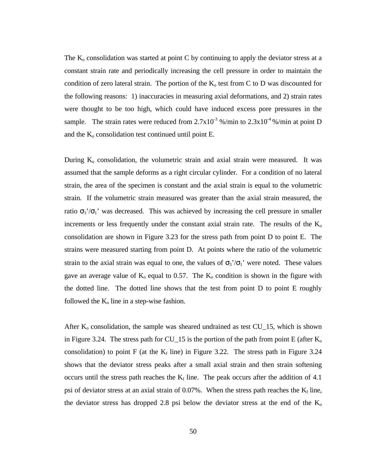The  $K_0$  consolidation was started at point C by continuing to apply the deviator stress at a constant strain rate and periodically increasing the cell pressure in order to maintain the condition of zero lateral strain. The portion of the  $K_0$  test from C to D was discounted for the following reasons: 1) inaccuracies in measuring axial deformations, and 2) strain rates were thought to be too high, which could have induced excess pore pressures in the sample. The strain rates were reduced from  $2.7 \times 10^{-3}$  %/min to  $2.3 \times 10^{-4}$  %/min at point D and the  $K_0$  consolidation test continued until point E.

During  $K_0$  consolidation, the volumetric strain and axial strain were measured. It was assumed that the sample deforms as a right circular cylinder. For a condition of no lateral strain, the area of the specimen is constant and the axial strain is equal to the volumetric strain. If the volumetric strain measured was greater than the axial strain measured, the ratio  $\sigma_3/\sigma_1$ ' was decreased. This was achieved by increasing the cell pressure in smaller increments or less frequently under the constant axial strain rate. The results of the  $K_0$ consolidation are shown in Figure 3.23 for the stress path from point D to point E. The strains were measured starting from point D. At points where the ratio of the volumetric strain to the axial strain was equal to one, the values of  $\sigma_3'/\sigma_1'$  were noted. These values gave an average value of  $K_0$  equal to 0.57. The  $K_0$  condition is shown in the figure with the dotted line. The dotted line shows that the test from point D to point E roughly followed the  $K_0$  line in a step-wise fashion.

After  $K_0$  consolidation, the sample was sheared undrained as test  $CU_15$ , which is shown in Figure 3.24. The stress path for CU\_15 is the portion of the path from point E (after  $K_0$ consolidation) to point F (at the  $K_f$  line) in Figure 3.22. The stress path in Figure 3.24 shows that the deviator stress peaks after a small axial strain and then strain softening occurs until the stress path reaches the  $K_f$  line. The peak occurs after the addition of 4.1 psi of deviator stress at an axial strain of  $0.07\%$ . When the stress path reaches the  $K_f$  line, the deviator stress has dropped 2.8 psi below the deviator stress at the end of the  $K_0$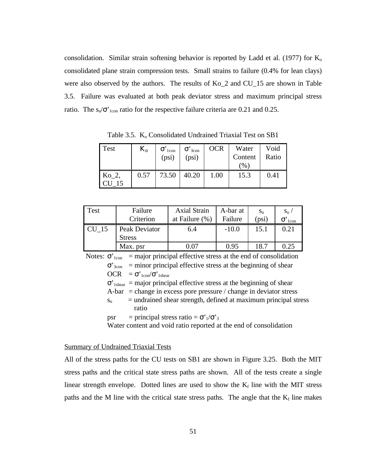consolidation. Similar strain softening behavior is reported by Ladd et al. (1977) for  $K_0$ consolidated plane strain compression tests. Small strains to failure (0.4% for lean clays) were also observed by the authors. The results of Ko\_2 and CU\_15 are shown in Table 3.5. Failure was evaluated at both peak deviator stress and maximum principal stress ratio. The  $s_u/\sigma'_{1con}$  ratio for the respective failure criteria are 0.21 and 0.25.

Test  $K_o \sigma'_{1con}$ (psi)  $\sigma$ <sup>3</sup><sub>con</sub> (psi) OCR Water Content (%) Void Ratio  $Ko_2$ , CU\_15  $0.57$  | 73.50 | 40.20 | 1.00 | 15.3 | 0.41

Table 3.5. K<sub>o</sub> Consolidated Undrained Triaxial Test on SB1

| Test  | Failure                        | <b>Axial Strain</b> | A-bar at | $S_{\rm u}$ | $S_{\rm u}$      |
|-------|--------------------------------|---------------------|----------|-------------|------------------|
|       | Criterion                      | at Failure $(\%)$   | Failure  | (psi)       | 1 <sub>con</sub> |
| CU 15 | Peak Deviator<br><b>Stress</b> | 6.4                 | $-10.0$  | 15.1        | 0.21             |
|       | Max. psr                       | ) በ7                | 0.95     | 18.7        | 0.25             |

Notes:  $\sigma'_{1con}$  = major principal effective stress at the end of consolidation  $\sigma'_{3\text{con}}$  = minor principal effective stress at the beginning of shear OCR =  $σ'_{1con}/σ'_{1shear}$  $\sigma$ <sup>'</sup><sub>1shear</sub> = major principal effective stress at the beginning of shear  $A-bar = change in excess pore pressure / change in deviator stress$ 

 $s<sub>u</sub>$  = undrained shear strength, defined at maximum principal stress ratio

psr = principal stress ratio =  $\sigma'_{1}/\sigma'_{3}$ 

Water content and void ratio reported at the end of consolidation

## Summary of Undrained Triaxial Tests

All of the stress paths for the CU tests on SB1 are shown in Figure 3.25. Both the MIT stress paths and the critical state stress paths are shown. All of the tests create a single linear strength envelope. Dotted lines are used to show the  $K_f$  line with the MIT stress paths and the M line with the critical state stress paths. The angle that the  $K_f$  line makes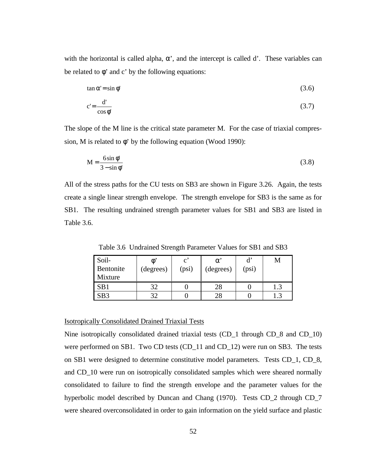with the horizontal is called alpha,  $\alpha'$ , and the intercept is called d'. These variables can be related to  $\phi'$  and c' by the following equations:

$$
\tan \alpha' = \sin \phi' \tag{3.6}
$$

$$
c' = \frac{d'}{\cos \phi'}
$$
 (3.7)

The slope of the M line is the critical state parameter M. For the case of triaxial compression, M is related to  $\phi'$  by the following equation (Wood 1990):

$$
M = \frac{6\sin\phi'}{3 - \sin\phi'}\tag{3.8}
$$

All of the stress paths for the CU tests on SB3 are shown in Figure 3.26. Again, the tests create a single linear strength envelope. The strength envelope for SB3 is the same as for SB1. The resulting undrained strength parameter values for SB1 and SB3 are listed in Table 3.6.

| Soil-           |           | $\mathbf{c}$ | α         | $\mathbf{d}'$ | M |
|-----------------|-----------|--------------|-----------|---------------|---|
| Bentonite       | (degrees) | (psi)        | (degrees) | (psi)         |   |
| Mixture         |           |              |           |               |   |
| SB <sub>1</sub> | つつ        |              | 28        |               |   |
| SB <sub>3</sub> | 20        |              | 28        |               |   |

Table 3.6 Undrained Strength Parameter Values for SB1 and SB3

## Isotropically Consolidated Drained Triaxial Tests

Nine isotropically consolidated drained triaxial tests (CD\_1 through CD\_8 and CD\_10) were performed on SB1. Two CD tests (CD\_11 and CD\_12) were run on SB3. The tests on SB1 were designed to determine constitutive model parameters. Tests CD\_1, CD\_8, and CD\_10 were run on isotropically consolidated samples which were sheared normally consolidated to failure to find the strength envelope and the parameter values for the hyperbolic model described by Duncan and Chang (1970). Tests CD<sub>\_2</sub> through CD<sub>\_7</sub> were sheared overconsolidated in order to gain information on the yield surface and plastic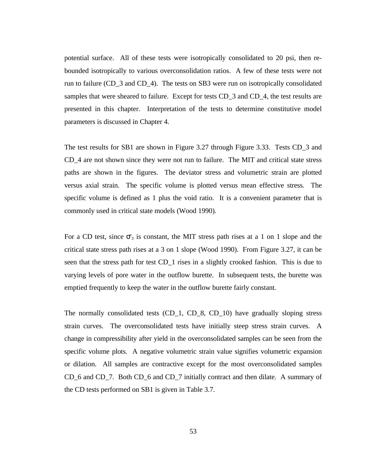potential surface. All of these tests were isotropically consolidated to 20 psi, then rebounded isotropically to various overconsolidation ratios. A few of these tests were not run to failure (CD\_3 and CD\_4). The tests on SB3 were run on isotropically consolidated samples that were sheared to failure. Except for tests CD\_3 and CD\_4, the test results are presented in this chapter. Interpretation of the tests to determine constitutive model parameters is discussed in Chapter 4.

The test results for SB1 are shown in Figure 3.27 through Figure 3.33. Tests CD\_3 and CD\_4 are not shown since they were not run to failure. The MIT and critical state stress paths are shown in the figures. The deviator stress and volumetric strain are plotted versus axial strain. The specific volume is plotted versus mean effective stress. The specific volume is defined as 1 plus the void ratio. It is a convenient parameter that is commonly used in critical state models (Wood 1990).

For a CD test, since  $\sigma'_{3}$  is constant, the MIT stress path rises at a 1 on 1 slope and the critical state stress path rises at a 3 on 1 slope (Wood 1990). From Figure 3.27, it can be seen that the stress path for test CD\_1 rises in a slightly crooked fashion. This is due to varying levels of pore water in the outflow burette. In subsequent tests, the burette was emptied frequently to keep the water in the outflow burette fairly constant.

The normally consolidated tests (CD\_1, CD\_8, CD\_10) have gradually sloping stress strain curves. The overconsolidated tests have initially steep stress strain curves. A change in compressibility after yield in the overconsolidated samples can be seen from the specific volume plots. A negative volumetric strain value signifies volumetric expansion or dilation. All samples are contractive except for the most overconsolidated samples CD\_6 and CD\_7. Both CD\_6 and CD\_7 initially contract and then dilate. A summary of the CD tests performed on SB1 is given in Table 3.7.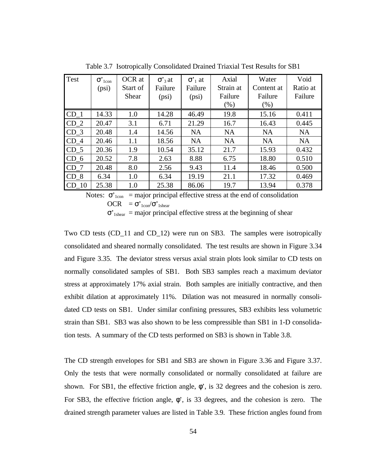| Test             | $\sigma$ <sup>'</sup> <sub>1con</sub> | OCR at   | $\sigma$ <sup>3</sup> at | $\sigma'$ at | Axial     | Water      | Void      |
|------------------|---------------------------------------|----------|--------------------------|--------------|-----------|------------|-----------|
|                  | (psi)                                 | Start of | Failure                  | Failure      | Strain at | Content at | Ratio at  |
|                  |                                       | Shear    | (psi)                    | (psi)        | Failure   | Failure    | Failure   |
|                  |                                       |          |                          |              | (% )      | (% )       |           |
| $CD_1$           | 14.33                                 | 1.0      | 14.28                    | 46.49        | 19.8      | 15.16      | 0.411     |
| $CD_2$           | 20.47                                 | 3.1      | 6.71                     | 21.29        | 16.7      | 16.43      | 0.445     |
| $CD_3$           | 20.48                                 | 1.4      | 14.56                    | <b>NA</b>    | <b>NA</b> | <b>NA</b>  | <b>NA</b> |
| $CD_4$           | 20.46                                 | 1.1      | 18.56                    | <b>NA</b>    | <b>NA</b> | <b>NA</b>  | <b>NA</b> |
| $CD_5$           | 20.36                                 | 1.9      | 10.54                    | 35.12        | 21.7      | 15.93      | 0.432     |
| $CD_6$           | 20.52                                 | 7.8      | 2.63                     | 8.88         | 6.75      | 18.80      | 0.510     |
| CD <sub>7</sub>  | 20.48                                 | 8.0      | 2.56                     | 9.43         | 11.4      | 18.46      | 0.500     |
| CD <sub>8</sub>  | 6.34                                  | 1.0      | 6.34                     | 19.19        | 21.1      | 17.32      | 0.469     |
| CD <sub>10</sub> | 25.38                                 | 1.0      | 25.38                    | 86.06        | 19.7      | 13.94      | 0.378     |

Table 3.7 Isotropically Consolidated Drained Triaxial Test Results for SB1

Notes:  $\sigma'_{1con}$  = major principal effective stress at the end of consolidation OCR =  $σ'_{1con}/σ'_{1shear}$ 

 $\sigma'_{\text{1shear}}$  = major principal effective stress at the beginning of shear

Two CD tests (CD\_11 and CD\_12) were run on SB3. The samples were isotropically consolidated and sheared normally consolidated. The test results are shown in Figure 3.34 and Figure 3.35. The deviator stress versus axial strain plots look similar to CD tests on normally consolidated samples of SB1. Both SB3 samples reach a maximum deviator stress at approximately 17% axial strain. Both samples are initially contractive, and then exhibit dilation at approximately 11%. Dilation was not measured in normally consolidated CD tests on SB1. Under similar confining pressures, SB3 exhibits less volumetric strain than SB1. SB3 was also shown to be less compressible than SB1 in 1-D consolidation tests. A summary of the CD tests performed on SB3 is shown in Table 3.8.

The CD strength envelopes for SB1 and SB3 are shown in Figure 3.36 and Figure 3.37. Only the tests that were normally consolidated or normally consolidated at failure are shown. For SB1, the effective friction angle,  $\phi$ ', is 32 degrees and the cohesion is zero. For SB3, the effective friction angle,  $\phi'$ , is 33 degrees, and the cohesion is zero. The drained strength parameter values are listed in Table 3.9. These friction angles found from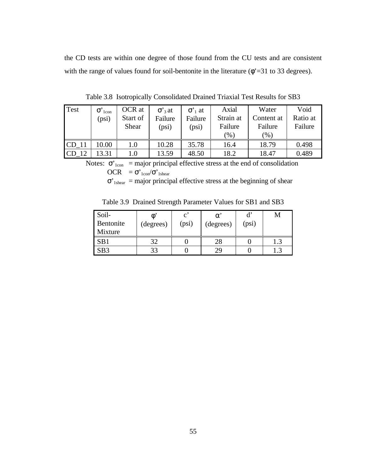the CD tests are within one degree of those found from the CU tests and are consistent with the range of values found for soil-bentonite in the literature  $(\phi^* = 31 \text{ to } 33 \text{ degrees})$ .

| Test             | $\sigma$ <sup>'</sup> <sub>1con</sub><br>(psi) | OCR at<br>Start of<br>Shear | $\sigma$ '3 at<br>Failure<br>(psi) | $\sigma'$ at<br>Failure<br>(psi) | Axial<br>Strain at<br>Failure<br>$\%$ ) | Water<br>Content at<br>Failure<br>(9/0) | Void<br>Ratio at<br>Failure |
|------------------|------------------------------------------------|-----------------------------|------------------------------------|----------------------------------|-----------------------------------------|-----------------------------------------|-----------------------------|
| CD <sub>11</sub> | 0.00                                           | 1.0                         | 10.28                              | 35.78                            | 16.4                                    | 18.79                                   | 0.498                       |
| CD               | 3.31                                           | $1.0\,$                     | 13.59                              | 48.50                            | 18.2                                    | 18.47                                   | 0.489                       |

Table 3.8 Isotropically Consolidated Drained Triaxial Test Results for SB3

Notes:  $\sigma'_{1con}$  = major principal effective stress at the end of consolidation OCR =  $σ$ <sup>'</sup><sub>1con</sub>/ $σ$ '<sub>1shear</sub>  $\sigma'_{\text{1shear}}$  = major principal effective stress at the beginning of shear

Table 3.9 Drained Strength Parameter Values for SB1 and SB3

| Soil-<br>Bentonite<br>Mixture | $\varphi$<br>(degrees) | $\mathbf c$<br>(psi) | $\alpha$<br>(degrees) | $\mathbf{d}'$<br>(psi) |  |
|-------------------------------|------------------------|----------------------|-----------------------|------------------------|--|
| SB1                           | つつ                     |                      |                       |                        |  |
| SB <sub>3</sub>               | 33                     |                      | 29                    |                        |  |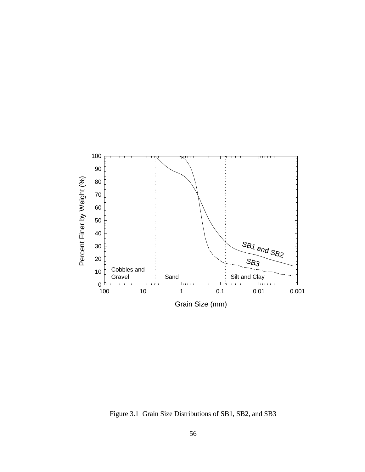

Figure 3.1 Grain Size Distributions of SB1, SB2, and SB3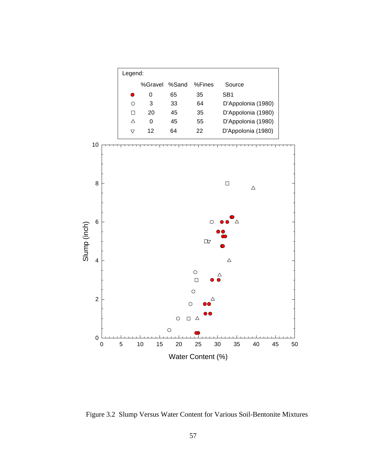

Figure 3.2 Slump Versus Water Content for Various Soil-Bentonite Mixtures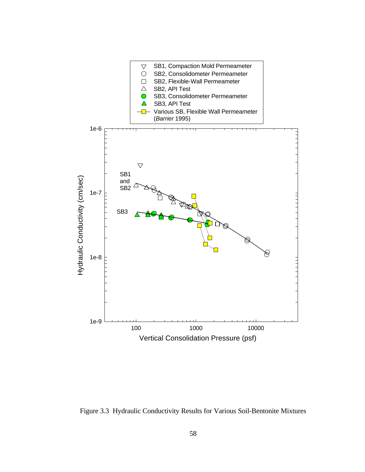

Figure 3.3 Hydraulic Conductivity Results for Various Soil-Bentonite Mixtures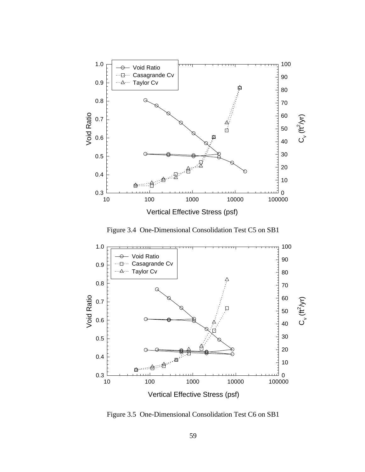

Figure 3.4 One-Dimensional Consolidation Test C5 on SB1



Figure 3.5 One-Dimensional Consolidation Test C6 on SB1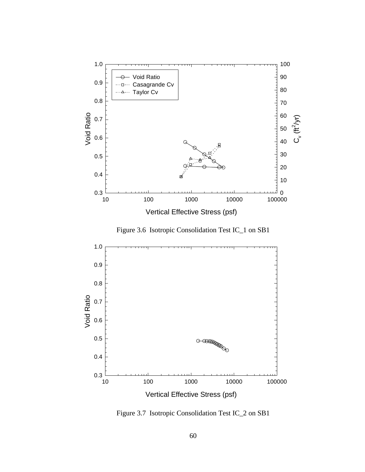

Figure 3.6 Isotropic Consolidation Test IC\_1 on SB1



Figure 3.7 Isotropic Consolidation Test IC\_2 on SB1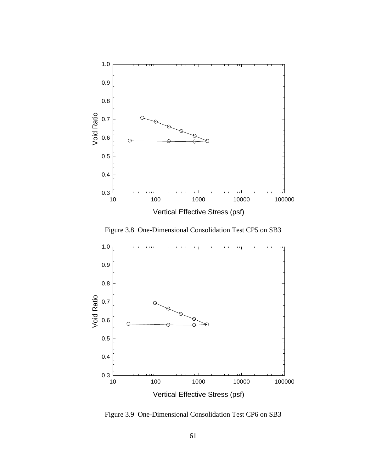

Figure 3.8 One-Dimensional Consolidation Test CP5 on SB3



Figure 3.9 One-Dimensional Consolidation Test CP6 on SB3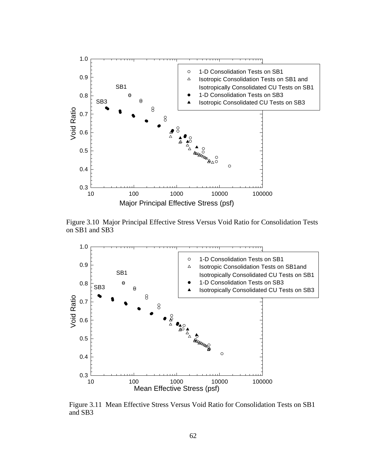

Figure 3.10 Major Principal Effective Stress Versus Void Ratio for Consolidation Tests on SB1 and SB3



Figure 3.11 Mean Effective Stress Versus Void Ratio for Consolidation Tests on SB1 and SB3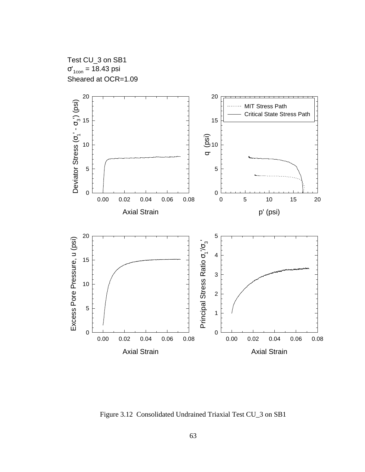Test CU\_3 on SB1  $\sigma'_{1\text{con}}$  = 18.43 psi Sheared at OCR=1.09



Figure 3.12 Consolidated Undrained Triaxial Test CU\_3 on SB1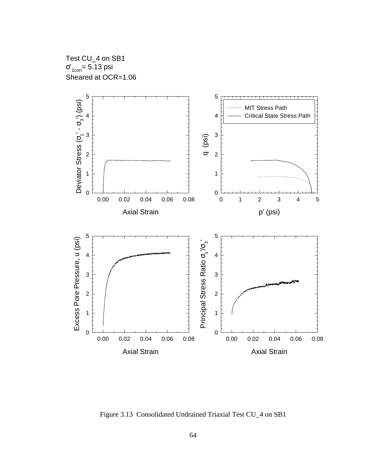Test CU\_4 on SB1 σ'<sub>1con</sub>= 5.13 psi Sheared at OCR=1.06



Figure 3.13 Consolidated Undrained Triaxial Test CU\_4 on SB1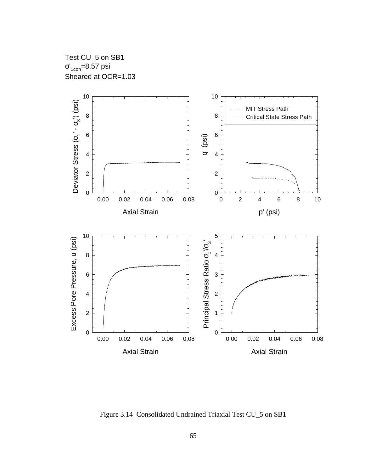Test CU\_5 on SB1 σ'<sub>1con</sub>=8.57 psi Sheared at OCR=1.03



Figure 3.14 Consolidated Undrained Triaxial Test CU\_5 on SB1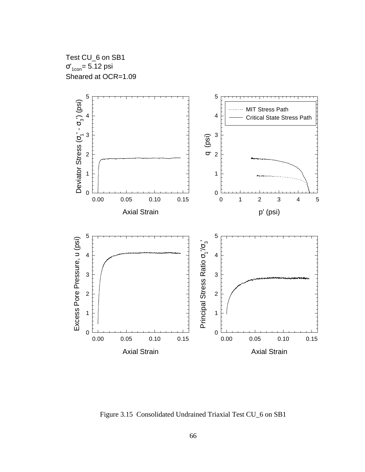Test CU\_6 on SB1 σ'<sub>1con</sub>= 5.12 psi Sheared at OCR=1.09



Figure 3.15 Consolidated Undrained Triaxial Test CU\_6 on SB1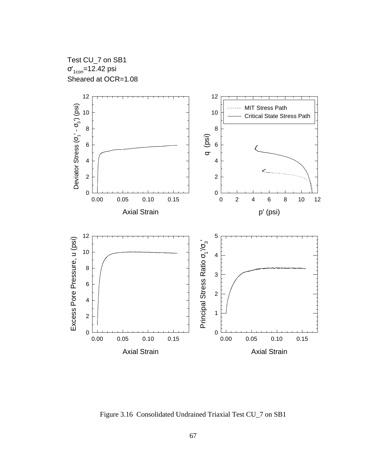Test CU\_7 on SB1 σ'<sub>1con</sub>=12.42 psi Sheared at OCR=1.08



Figure 3.16 Consolidated Undrained Triaxial Test CU\_7 on SB1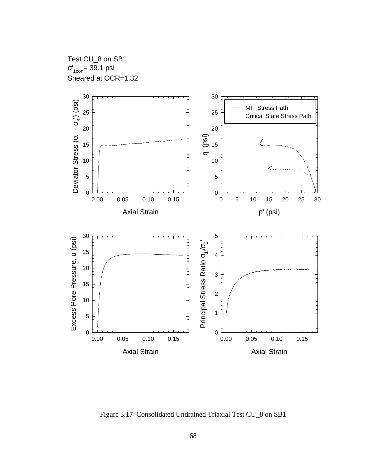Test CU\_8 on SB1 σ'<sub>1con</sub>= 39.1 psi Sheared at OCR=1.32



Figure 3.17 Consolidated Undrained Triaxial Test CU\_8 on SB1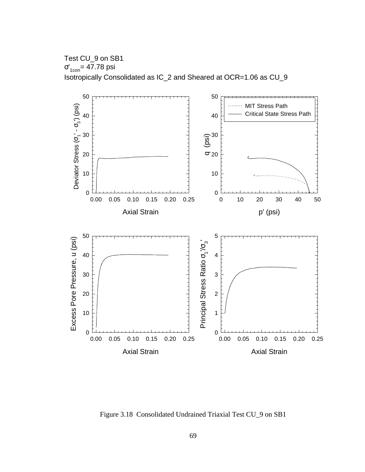Test CU\_9 on SB1 σ'<sub>1con</sub>= 47.78 psi Isotropically Consolidated as IC\_2 and Sheared at OCR=1.06 as CU\_9



Figure 3.18 Consolidated Undrained Triaxial Test CU\_9 on SB1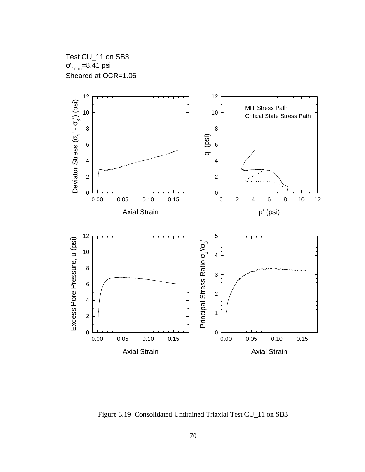Test CU\_11 on SB3 σ'<sub>1con</sub>=8.41 psi Sheared at OCR=1.06



Figure 3.19 Consolidated Undrained Triaxial Test CU\_11 on SB3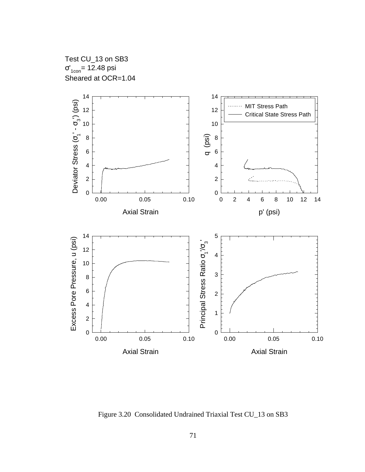Test CU\_13 on SB3 σ'<sub>1con</sub>= 12.48 psi Sheared at OCR=1.04



Figure 3.20 Consolidated Undrained Triaxial Test CU\_13 on SB3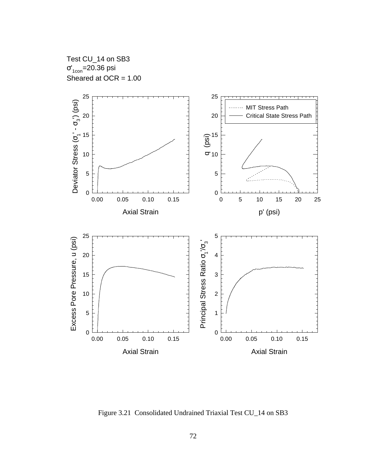Test CU\_14 on SB3 σ'<sub>1con</sub>=20.36 psi Sheared at OCR = 1.00



Figure 3.21 Consolidated Undrained Triaxial Test CU\_14 on SB3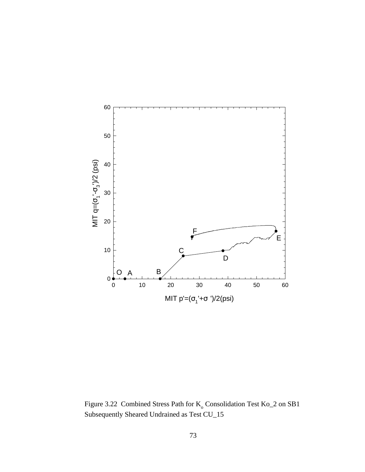

Figure 3.22 Combined Stress Path for  $K_0$  Consolidation Test  $K_0$  2 on SB1 Subsequently Sheared Undrained as Test CU\_15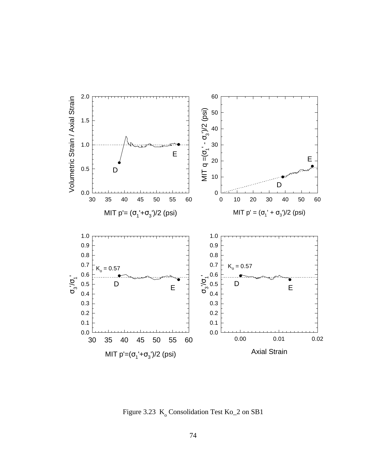

Figure 3.23  $K_0$  Consolidation Test Ko $\_2$  on SB1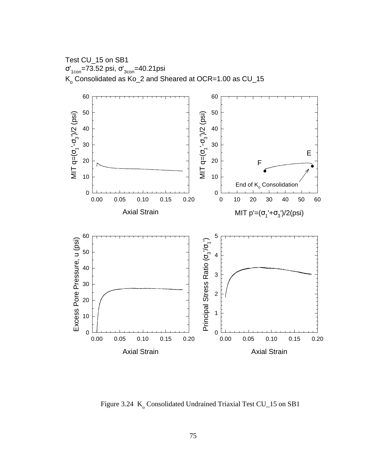Test CU\_15 on SB1 σ'<sub>1con</sub>=73.52 psi, σ'<sub>3con</sub>=40.21psi  $\mathsf{K}_{_\mathrm{O}}$  Consolidated as  $\mathsf{Ko\_2}$  and Sheared at OCR=1.00 as CU\_15



Figure 3.24 K<sub>o</sub> Consolidated Undrained Triaxial Test CU\_15 on SB1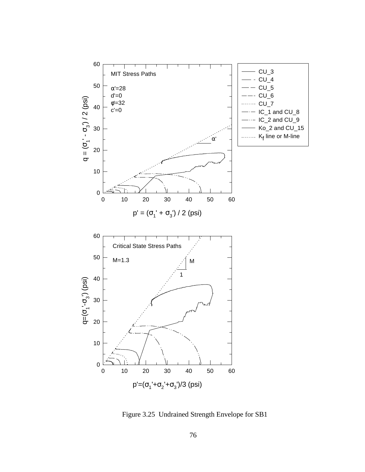

Figure 3.25 Undrained Strength Envelope for SB1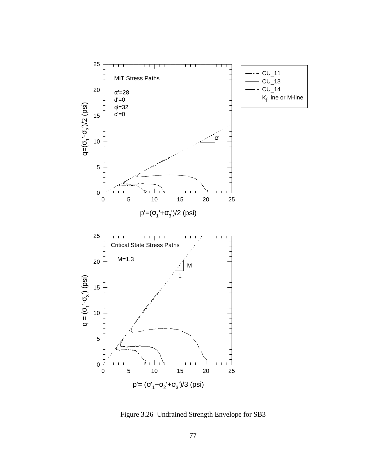

Figure 3.26 Undrained Strength Envelope for SB3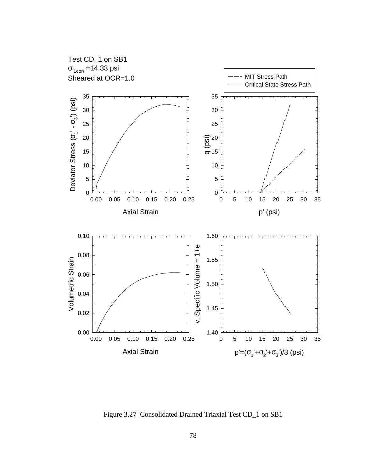

Figure 3.27 Consolidated Drained Triaxial Test CD\_1 on SB1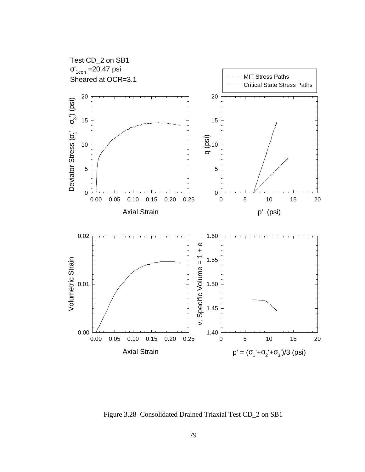

Figure 3.28 Consolidated Drained Triaxial Test CD\_2 on SB1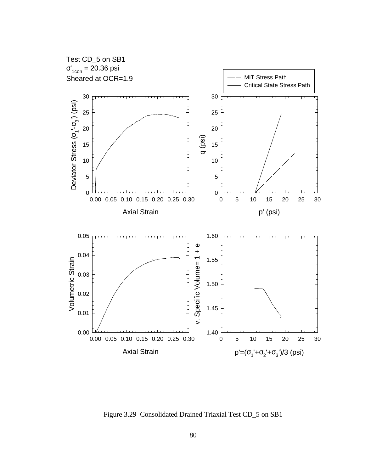

Figure 3.29 Consolidated Drained Triaxial Test CD\_5 on SB1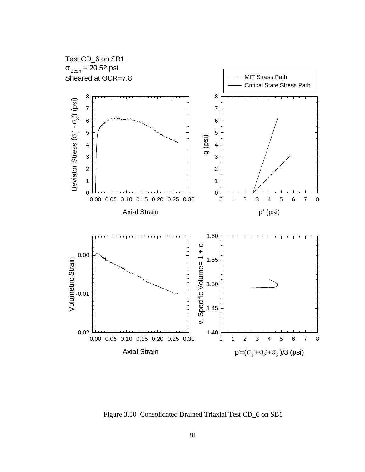

Figure 3.30 Consolidated Drained Triaxial Test CD\_6 on SB1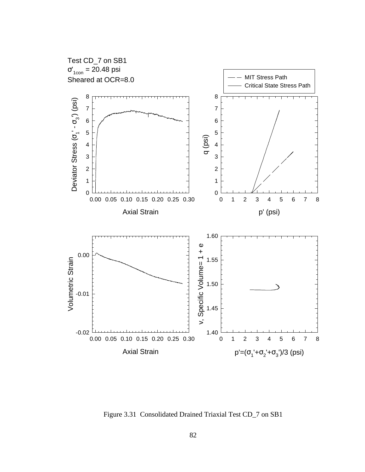

Figure 3.31 Consolidated Drained Triaxial Test CD\_7 on SB1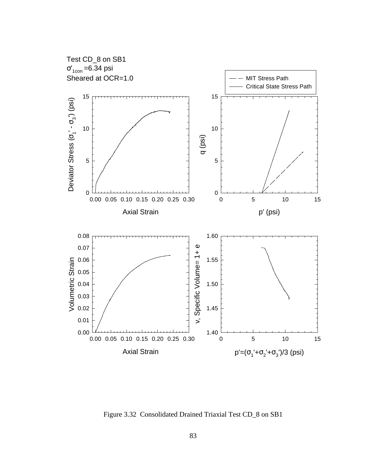

Figure 3.32 Consolidated Drained Triaxial Test CD\_8 on SB1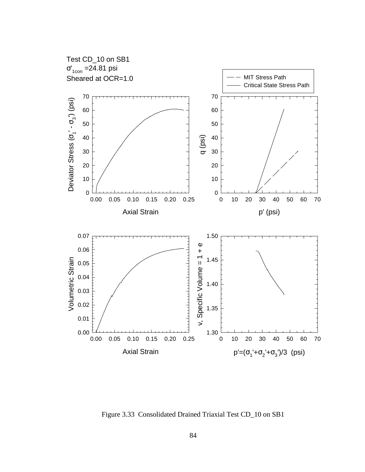

Figure 3.33 Consolidated Drained Triaxial Test CD\_10 on SB1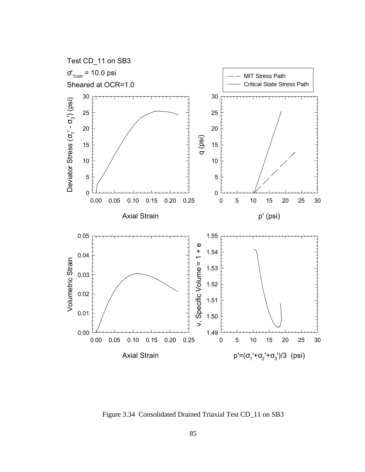

Figure 3.34 Consolidated Drained Triaxial Test CD\_11 on SB3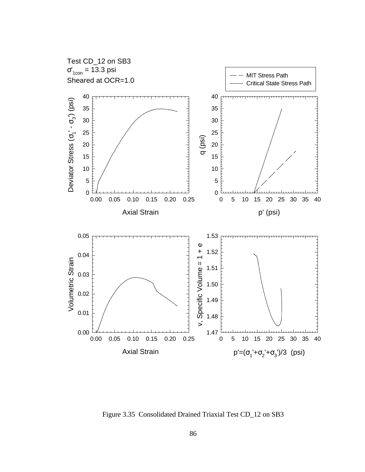

Figure 3.35 Consolidated Drained Triaxial Test CD\_12 on SB3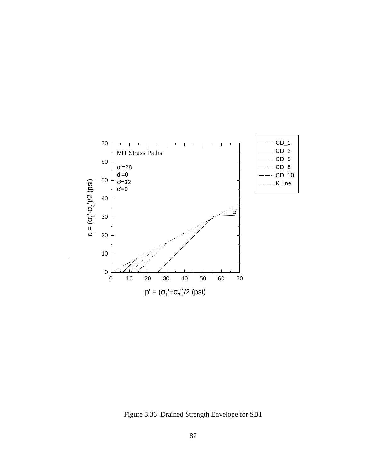

Figure 3.36 Drained Strength Envelope for SB1